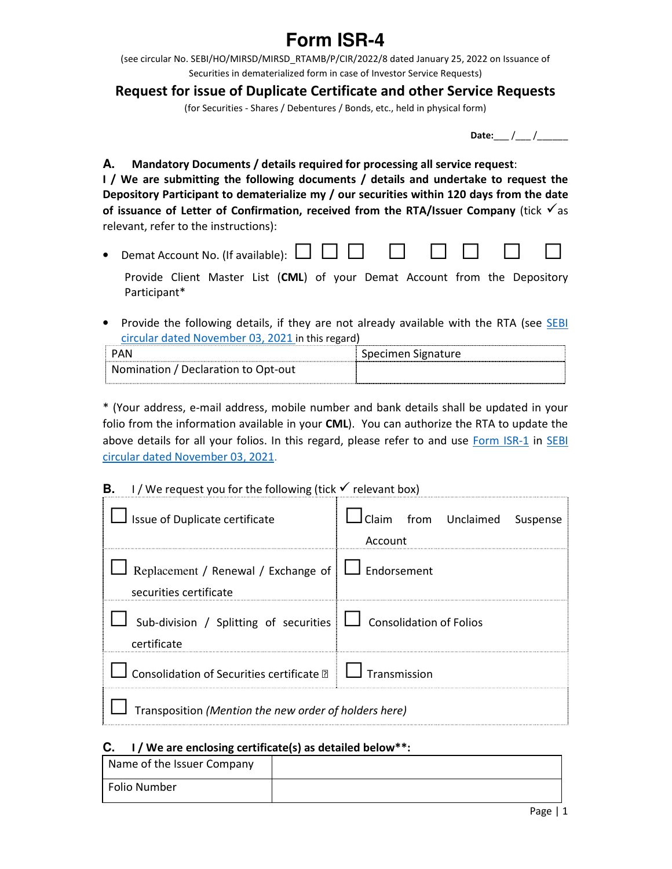## **Form ISR-4**

(see circular No. SEBI/HO/MIRSD/MIRSD\_RTAMB/P/CIR/2022/8 dated January 25, 2022 on Issuance of Securities in dematerialized form in case of Investor Service Requests)

## **Request for issue of Duplicate Certificate and other Service Requests**

(for Securities - Shares / Debentures / Bonds, etc., held in physical form)

**Date:** / /

**A. Mandatory Documents / details required for processing all service request**:

**I / We are submitting the following documents / details and undertake to request the Depository Participant to dematerialize my / our securities within 120 days from the date**  of issuance of Letter of Confirmation, received from the RTA/Issuer Company (tick  $\sqrt{a}$ s relevant, refer to the instructions):

• Demat Account No. (If available):  $\Box$   $\Box$ 

Provide Client Master List (**CML**) of your Demat Account from the Depository Participant\*

• Provide the following details, if they are not already available with the RTA (see SEBI circular dated November 03, 2021 in this regard)

| PAN                                 | Specimen Signature |
|-------------------------------------|--------------------|
| Nomination / Declaration to Opt-out |                    |

\* (Your address, e-mail address, mobile number and bank details shall be updated in your folio from the information available in your **CML**). You can authorize the RTA to update the above details for all your folios. In this regard, please refer to and use Form ISR-1 in SEBI circular dated November 03, 2021.

| В. | I/We request you for the following (tick $\checkmark$ relevant box)                  |                                           |
|----|--------------------------------------------------------------------------------------|-------------------------------------------|
|    | Issue of Duplicate certificate                                                       | Iclaim from Unclaimed Suspense<br>Account |
|    | Replacement / Renewal / Exchange of $\Box$ Endorsement<br>securities certificate     |                                           |
|    | Sub-division / Splitting of securities $\Box$ Consolidation of Folios<br>certificate |                                           |
|    | $\Box$ Consolidation of Securities certificate $\Box$ $\Box$ Transmission            |                                           |
|    | Transposition (Mention the new order of holders here)                                |                                           |

## **C. I / We are enclosing certificate(s) as detailed below\*\*:**

| Name of the Issuer Company |  |
|----------------------------|--|
| Folio Number               |  |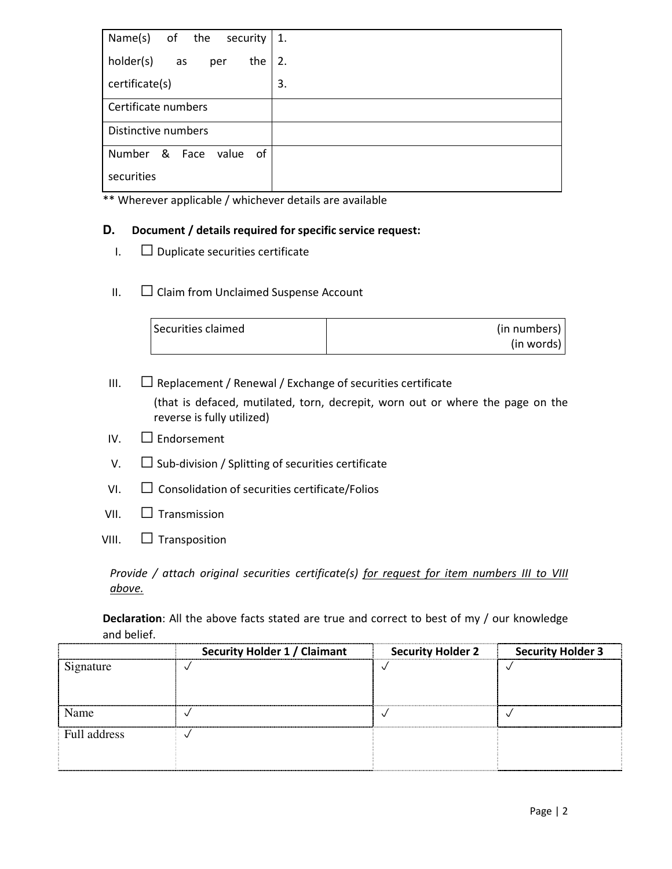| Name(s)<br>of the<br>security   | 1. |
|---------------------------------|----|
| holder(s)<br>the<br>as<br>per   | 2. |
| certificate(s)                  | 3. |
| Certificate numbers             |    |
| Distinctive numbers             |    |
| Number<br>& Face<br>value<br>of |    |
| securities                      |    |

\*\* Wherever applicable / whichever details are available

## **D. Document / details required for specific service request:**

- $I. \square$  Duplicate securities certificate
- $II.$   $\Box$  Claim from Unclaimed Suspense Account

| Securities claimed | (in numbers) |
|--------------------|--------------|
|                    | (in words)   |

 $III.$   $\Box$  Replacement / Renewal / Exchange of securities certificate (that is defaced, mutilated, torn, decrepit, worn out or where the page on the reverse is fully utilized)

- $IV.$   $\Box$  Endorsement
- $V.$   $\Box$  Sub-division / Splitting of securities certificate
- $VI.$   $\Box$  Consolidation of securities certificate/Folios
- VII.  $\Box$  Transmission
- VIII.  $\Box$  Transposition

*Provide / attach original securities certificate(s) for request for item numbers III to VIII above.* 

**Declaration**: All the above facts stated are true and correct to best of my / our knowledge and belief.

|              | <b>Security Holder 1 / Claimant</b> | <b>Security Holder 2</b> | <b>Security Holder 3</b> |
|--------------|-------------------------------------|--------------------------|--------------------------|
| Signature    |                                     |                          |                          |
|              |                                     |                          |                          |
|              |                                     |                          |                          |
| Name         |                                     |                          |                          |
| Full address |                                     |                          |                          |
|              |                                     |                          |                          |
|              |                                     |                          |                          |